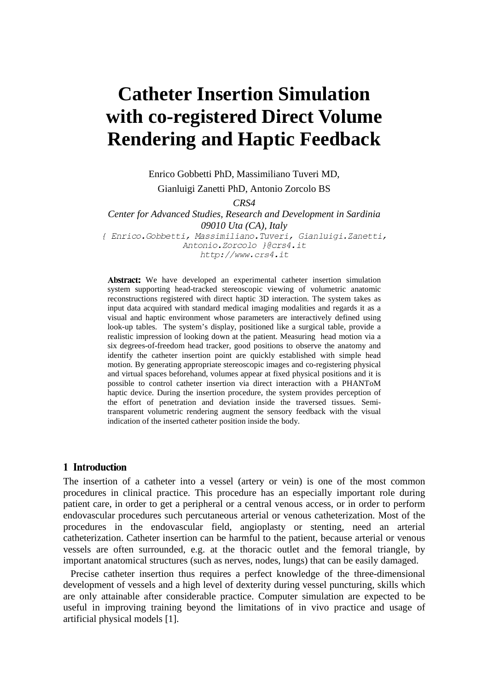# **Catheter Insertion Simulation with co-registered Direct Volume Rendering and Haptic Feedback**

Enrico Gobbetti PhD, Massimiliano Tuveri MD, Gianluigi Zanetti PhD, Antonio Zorcolo BS

*CRS4*

*Center for Advanced Studies, Research and Development in Sardinia 09010 Uta (CA), Italy* { Enrico. Gobbetti, Massimiliano. Tuveri, Gianluigi. Zanetti, Antonio. Zorcolo }@crs4.it

http://www.crs4.it

Abstract: We have developed an experimental catheter insertion simulation system supporting head-tracked stereoscopic viewing of volumetric anatomic reconstructions registered with direct haptic 3D interaction. The system takes as input data acquired with standard medical imaging modalities and regards it as a visual and haptic environment whose parameters are interactively defined using look-up tables. The system's display, positioned like a surgical table, provide a realistic impression of looking down at the patient. Measuring head motion via a six degrees-of-freedom head tracker, good positions to observe the anatomy and identify the catheter insertion point are quickly established with simple head motion. By generating appropriate stereoscopic images and co-registering physical and virtual spaces beforehand, volumes appear at fixed physical positions and it is possible to control catheter insertion via direct interaction with a PHANToM haptic device. During the insertion procedure, the system provides perception of the effort of penetration and deviation inside the traversed tissues. Semitransparent volumetric rendering augment the sensory feedback with the visual indication of the inserted catheter position inside the body.

## 1 Introduction

The insertion of a catheter into a vessel (artery or vein) is one of the most common procedures in clinical practice. This procedure has an especially important role during patient care, in order to get a peripheral or a central venous access, or in order to perform endovascular procedures such percutaneous arterial or venous catheterization. Most of the procedures in the endovascular field, angioplasty or stenting, need an arterial catheterization. Catheter insertion can be harmful to the patient, because arterial or venous vessels are often surrounded, e.g. at the thoracic outlet and the femoral triangle, by important anatomical structures (such as nerves, nodes, lungs) that can be easily damaged.

Precise catheter insertion thus requires a perfect knowledge of the three-dimensional development of vessels and a high level of dexterity during vessel puncturing, skills which are only attainable after considerable practice. Computer simulation are expected to be useful in improving training beyond the limitations of in vivo practice and usage of artificial physical models [1].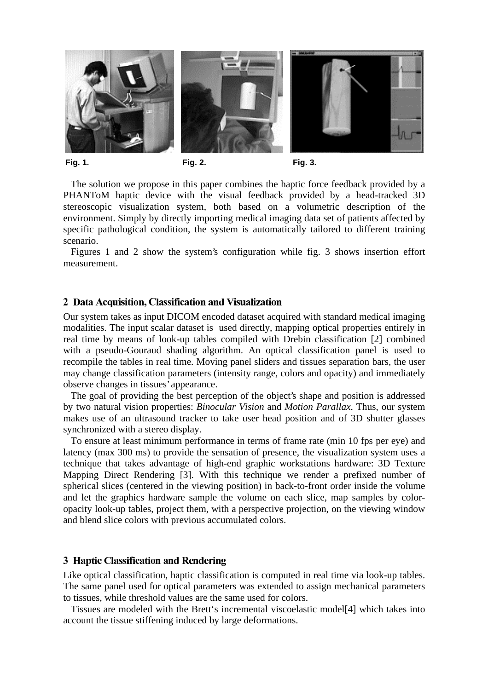



**Fig. 1. Fig. 2. Fig. 3.**

The solution we propose in this paper combines the haptic force feedback provided by a PHANToM haptic device with the visual feedback provided by a head-tracked 3D stereoscopic visualization system, both based on a volumetric description of the environment. Simply by directly importing medical imaging data set of patients affected by specific pathological condition, the system is automatically tailored to different training scenario.

Figures 1 and 2 show the system's configuration while fig. 3 shows insertion effort measurement.

## 2 Data Acquisition, Classification and Visualization

Our system takes as input DICOM encoded dataset acquired with standard medical imaging modalities. The input scalar dataset is used directly, mapping optical properties entirely in real time by means of look-up tables compiled with Drebin classification [2] combined with a pseudo-Gouraud shading algorithm. An optical classification panel is used to recompile the tables in real time. Moving panel sliders and tissues separation bars, the user may change classification parameters (intensity range, colors and opacity) and immediately observe changes in tissues'appearance.

The goal of providing the best perception of the object's shape and position is addressed by two natural vision properties: *Binocular Vision* and *Motion Parallax*. Thus, our system makes use of an ultrasound tracker to take user head position and of 3D shutter glasses synchronized with a stereo display.

To ensure at least minimum performance in terms of frame rate (min 10 fps per eye) and latency (max 300 ms) to provide the sensation of presence, the visualization system uses a technique that takes advantage of high-end graphic workstations hardware: 3D Texture Mapping Direct Rendering [3]. With this technique we render a prefixed number of spherical slices (centered in the viewing position) in back-to-front order inside the volume and let the graphics hardware sample the volume on each slice, map samples by coloropacity look-up tables, project them, with a perspective projection, on the viewing window and blend slice colors with previous accumulated colors.

## 3 Haptic Classification and Rendering

Like optical classification, haptic classification is computed in real time via look-up tables. The same panel used for optical parameters was extended to assign mechanical parameters to tissues, while threshold values are the same used for colors.

Tissues are modeled with the Brett's incremental viscoelastic model[4] which takes into account the tissue stiffening induced by large deformations.